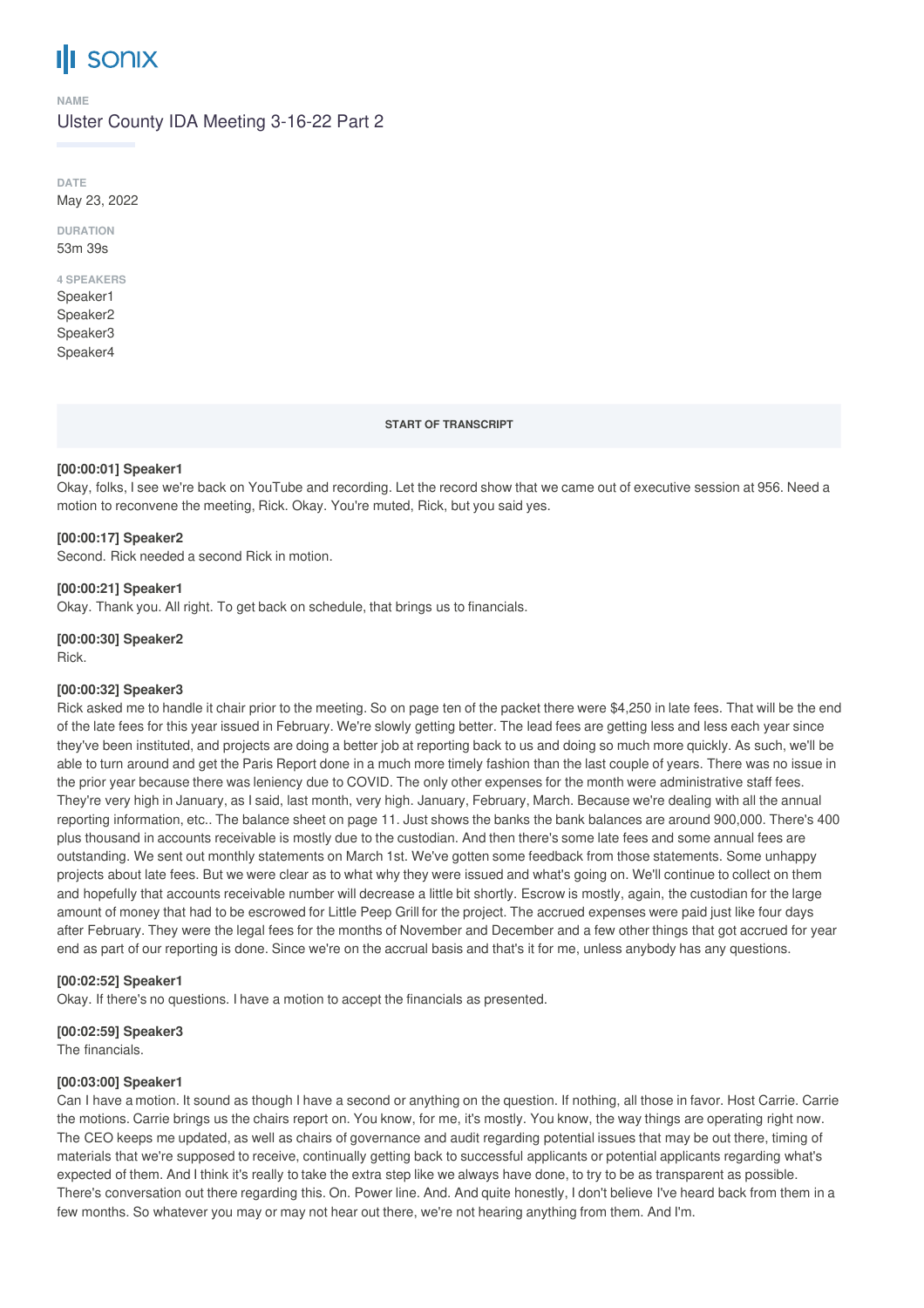# **III** sonix

#### **NAME**

#### Ulster County IDA Meeting 3-16-22 Part 2

**DATE** May 23, 2022

**DURATION** 53m 39s

### **4 SPEAKERS**

Speaker1 Speaker2 Speaker3 Speaker4

**START OF TRANSCRIPT**

#### **[00:00:01] Speaker1**

Okay, folks, I see we're back on YouTube and recording. Let the record show that we came out of executive session at 956. Need a motion to reconvene the meeting, Rick. Okay. You're muted, Rick, but you said yes.

#### **[00:00:17] Speaker2**

Second. Rick needed a second Rick in motion.

#### **[00:00:21] Speaker1**

Okay. Thank you. All right. To get back on schedule, that brings us to financials.

**[00:00:30] Speaker2** Rick.

#### **[00:00:32] Speaker3**

Rick asked me to handle it chair prior to the meeting. So on page ten of the packet there were \$4,250 in late fees. That will be the end of the late fees for this year issued in February. We're slowly getting better. The lead fees are getting less and less each year since they've been instituted, and projects are doing a better job at reporting back to us and doing so much more quickly. As such, we'll be able to turn around and get the Paris Report done in a much more timely fashion than the last couple of years. There was no issue in the prior year because there was leniency due to COVID. The only other expenses for the month were administrative staff fees. They're very high in January, as I said, last month, very high. January, February, March. Because we're dealing with all the annual reporting information, etc.. The balance sheet on page 11. Just shows the banks the bank balances are around 900,000. There's 400 plus thousand in accounts receivable is mostly due to the custodian. And then there's some late fees and some annual fees are outstanding. We sent out monthly statements on March 1st. We've gotten some feedback from those statements. Some unhappy projects about late fees. But we were clear as to what why they were issued and what's going on. We'll continue to collect on them and hopefully that accounts receivable number will decrease a little bit shortly. Escrow is mostly, again, the custodian for the large amount of money that had to be escrowed for Little Peep Grill for the project. The accrued expenses were paid just like four days after February. They were the legal fees for the months of November and December and a few other things that got accrued for year end as part of our reporting is done. Since we're on the accrual basis and that's it for me, unless anybody has any questions.

#### **[00:02:52] Speaker1**

Okay. If there's no questions. I have a motion to accept the financials as presented.

**[00:02:59] Speaker3**

The financials.

#### **[00:03:00] Speaker1**

Can I have a motion. It sound as though I have a second or anything on the question. If nothing, all those in favor. Host Carrie. Carrie the motions. Carrie brings us the chairs report on. You know, for me, it's mostly. You know, the way things are operating right now. The CEO keeps me updated, as well as chairs of governance and audit regarding potential issues that may be out there, timing of materials that we're supposed to receive, continually getting back to successful applicants or potential applicants regarding what's expected of them. And I think it's really to take the extra step like we always have done, to try to be as transparent as possible. There's conversation out there regarding this. On. Power line. And. And quite honestly, I don't believe I've heard back from them in a few months. So whatever you may or may not hear out there, we're not hearing anything from them. And I'm.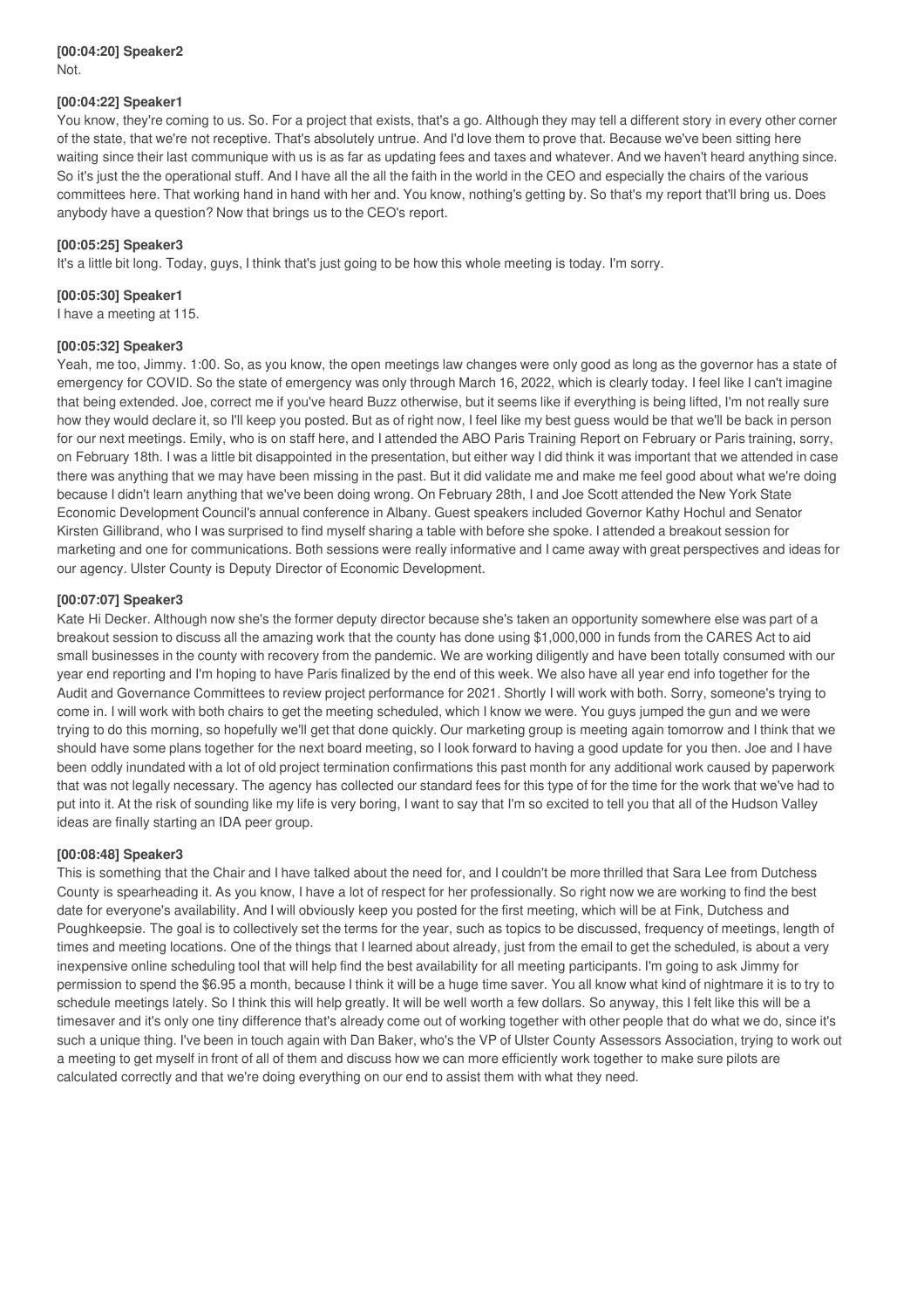#### **[00:04:20] Speaker2** Not.

#### **[00:04:22] Speaker1**

You know, they're coming to us. So. For a project that exists, that's a go. Although they may tell a different story in every other corner of the state, that we're not receptive. That's absolutely untrue. And I'd love them to prove that. Because we've been sitting here waiting since their last communique with us is as far as updating fees and taxes and whatever. And we haven't heard anything since. So it's just the the operational stuff. And I have all the all the faith in the world in the CEO and especially the chairs of the various committees here. That working hand in hand with her and. You know, nothing's getting by. So that's my report that'll bring us. Does anybody have a question? Now that brings us to the CEO's report.

#### **[00:05:25] Speaker3**

It's a little bit long. Today, guys, I think that's just going to be how this whole meeting is today. I'm sorry.

#### **[00:05:30] Speaker1**

I have a meeting at 115.

#### **[00:05:32] Speaker3**

Yeah, me too, Jimmy. 1:00. So, as you know, the open meetings law changes were only good as long as the governor has a state of emergency for COVID. So the state of emergency was only through March 16, 2022, which is clearly today. I feel like I can't imagine that being extended. Joe, correct me if you've heard Buzz otherwise, but it seems like if everything is being lifted, I'm not really sure how they would declare it, so I'll keep you posted. But as of right now, I feel like my best guess would be that we'll be back in person for our next meetings. Emily, who is on staff here, and I attended the ABO Paris Training Report on February or Paris training, sorry, on February 18th. I was a little bit disappointed in the presentation, but either way I did think it was important that we attended in case there was anything that we may have been missing in the past. But it did validate me and make me feel good about what we're doing because I didn't learn anything that we've been doing wrong. On February 28th, I and Joe Scott attended the New York State Economic Development Council's annual conference in Albany. Guest speakers included Governor Kathy Hochul and Senator Kirsten Gillibrand, who I was surprised to find myself sharing a table with before she spoke. I attended a breakout session for marketing and one for communications. Both sessions were really informative and I came away with great perspectives and ideas for our agency. Ulster County is Deputy Director of Economic Development.

#### **[00:07:07] Speaker3**

Kate Hi Decker. Although now she's the former deputy director because she's taken an opportunity somewhere else was part of a breakout session to discuss all the amazing work that the county has done using \$1,000,000 in funds from the CARES Act to aid small businesses in the county with recovery from the pandemic. We are working diligently and have been totally consumed with our year end reporting and I'm hoping to have Paris finalized by the end of this week. We also have all year end info together for the Audit and Governance Committees to review project performance for 2021. Shortly I will work with both. Sorry, someone's trying to come in. I will work with both chairs to get the meeting scheduled, which I know we were. You guys jumped the gun and we were trying to do this morning, so hopefully we'll get that done quickly. Our marketing group is meeting again tomorrow and I think that we should have some plans together for the next board meeting, so I look forward to having a good update for you then. Joe and I have been oddly inundated with a lot of old project termination confirmations this past month for any additional work caused by paperwork that was not legally necessary. The agency has collected our standard fees for this type of for the time for the work that we've had to put into it. At the risk of sounding like my life is very boring, I want to say that I'm so excited to tell you that all of the Hudson Valley ideas are finally starting an IDA peer group.

#### **[00:08:48] Speaker3**

This is something that the Chair and I have talked about the need for, and I couldn't be more thrilled that Sara Lee from Dutchess County is spearheading it. As you know, I have a lot of respect for her professionally. So right now we are working to find the best date for everyone's availability. And I will obviously keep you posted for the first meeting, which will be at Fink, Dutchess and Poughkeepsie. The goal is to collectively set the terms for the year, such as topics to be discussed, frequency of meetings, length of times and meeting locations. One of the things that I learned about already, just from the email to get the scheduled, is about a very inexpensive online scheduling tool that will help find the best availability for all meeting participants. I'm going to ask Jimmy for permission to spend the \$6.95 a month, because I think it will be a huge time saver. You all know what kind of nightmare it is to try to schedule meetings lately. So I think this will help greatly. It will be well worth a few dollars. So anyway, this I felt like this will be a timesaver and it's only one tiny difference that's already come out of working together with other people that do what we do, since it's such a unique thing. I've been in touch again with Dan Baker, who's the VP of Ulster County Assessors Association, trying to work out a meeting to get myself in front of all of them and discuss how we can more efficiently work together to make sure pilots are calculated correctly and that we're doing everything on our end to assist them with what they need.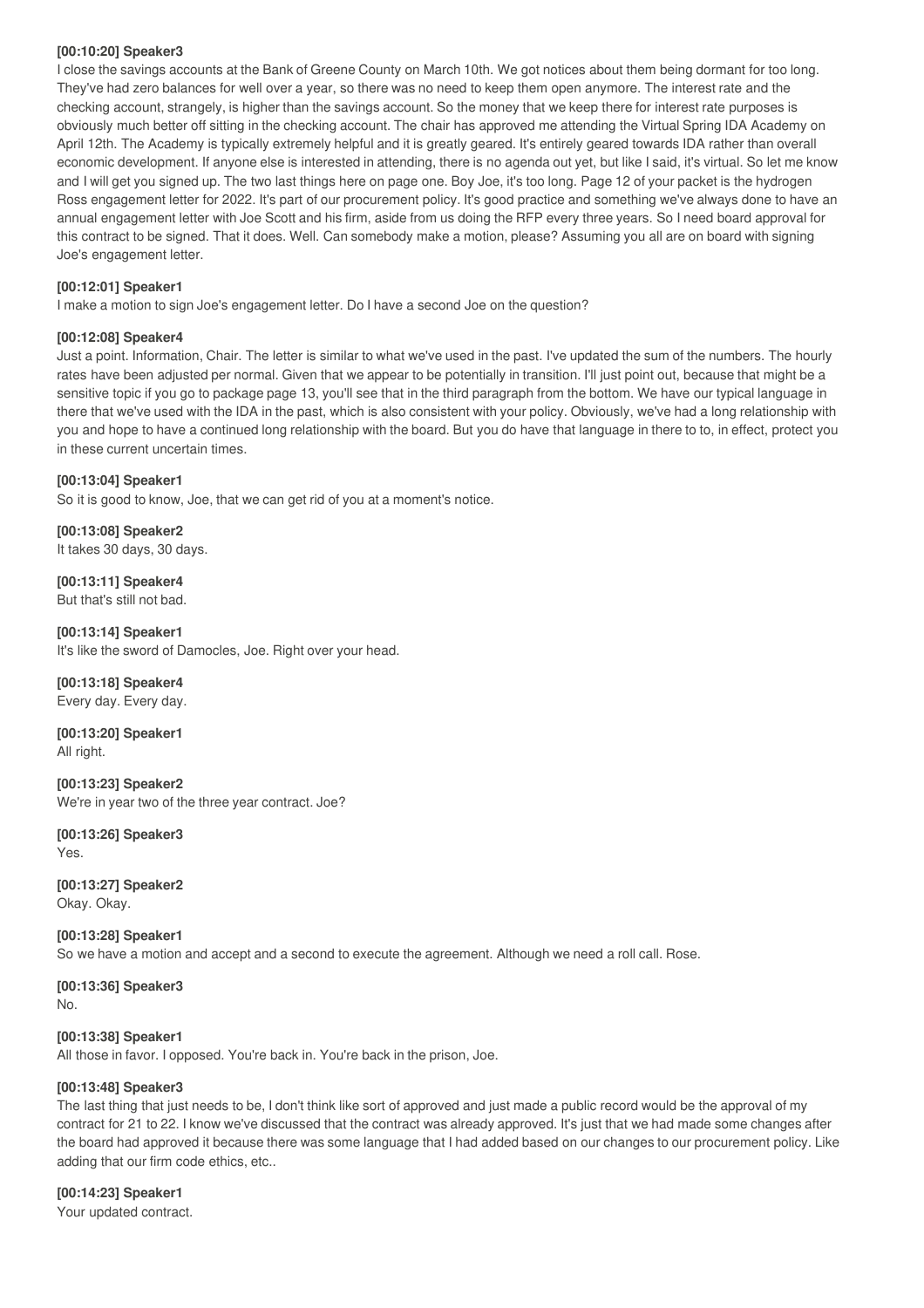#### **[00:10:20] Speaker3**

I close the savings accounts at the Bank of Greene County on March 10th. We got notices about them being dormant for too long. They've had zero balances for well over a year, so there was no need to keep them open anymore. The interest rate and the checking account, strangely, is higher than the savings account. So the money that we keep there for interest rate purposes is obviously much better off sitting in the checking account. The chair has approved me attending the Virtual Spring IDA Academy on April 12th. The Academy is typically extremely helpful and it is greatly geared. It's entirely geared towards IDA rather than overall economic development. If anyone else is interested in attending, there is no agenda out yet, but like I said, it's virtual. So let me know and I will get you signed up. The two last things here on page one. Boy Joe, it's too long. Page 12 of your packet is the hydrogen Ross engagement letter for 2022. It's part of our procurement policy. It's good practice and something we've always done to have an annual engagement letter with Joe Scott and his firm, aside from us doing the RFP every three years. So I need board approval for this contract to be signed. That it does. Well. Can somebody make a motion, please? Assuming you all are on board with signing Joe's engagement letter.

#### **[00:12:01] Speaker1**

I make a motion to sign Joe's engagement letter. Do I have a second Joe on the question?

#### **[00:12:08] Speaker4**

Just a point. Information, Chair. The letter is similar to what we've used in the past. I've updated the sum of the numbers. The hourly rates have been adjusted per normal. Given that we appear to be potentially in transition. I'll just point out, because that might be a sensitive topic if you go to package page 13, you'll see that in the third paragraph from the bottom. We have our typical language in there that we've used with the IDA in the past, which is also consistent with your policy. Obviously, we've had a long relationship with you and hope to have a continued long relationship with the board. But you do have that language in there to to, in effect, protect you in these current uncertain times.

#### **[00:13:04] Speaker1**

So it is good to know, Joe, that we can get rid of you at a moment's notice.

**[00:13:08] Speaker2** It takes 30 days, 30 days.

**[00:13:11] Speaker4** But that's still not bad.

**[00:13:14] Speaker1** It's like the sword of Damocles, Joe. Right over your head.

**[00:13:18] Speaker4** Every day. Every day.

**[00:13:20] Speaker1** All right.

**[00:13:23] Speaker2** We're in year two of the three year contract. Joe?

**[00:13:26] Speaker3** Yes.

**[00:13:27] Speaker2** Okay. Okay.

**[00:13:28] Speaker1** So we have a motion and accept and a second to execute the agreement. Although we need a roll call. Rose.

**[00:13:36] Speaker3** No.

#### **[00:13:38] Speaker1**

All those in favor. I opposed. You're back in. You're back in the prison, Joe.

#### **[00:13:48] Speaker3**

The last thing that just needs to be, I don't think like sort of approved and just made a public record would be the approval of my contract for 21 to 22. I know we've discussed that the contract was already approved. It's just that we had made some changes after the board had approved it because there was some language that I had added based on our changes to our procurement policy. Like adding that our firm code ethics, etc..

**[00:14:23] Speaker1** Your updated contract.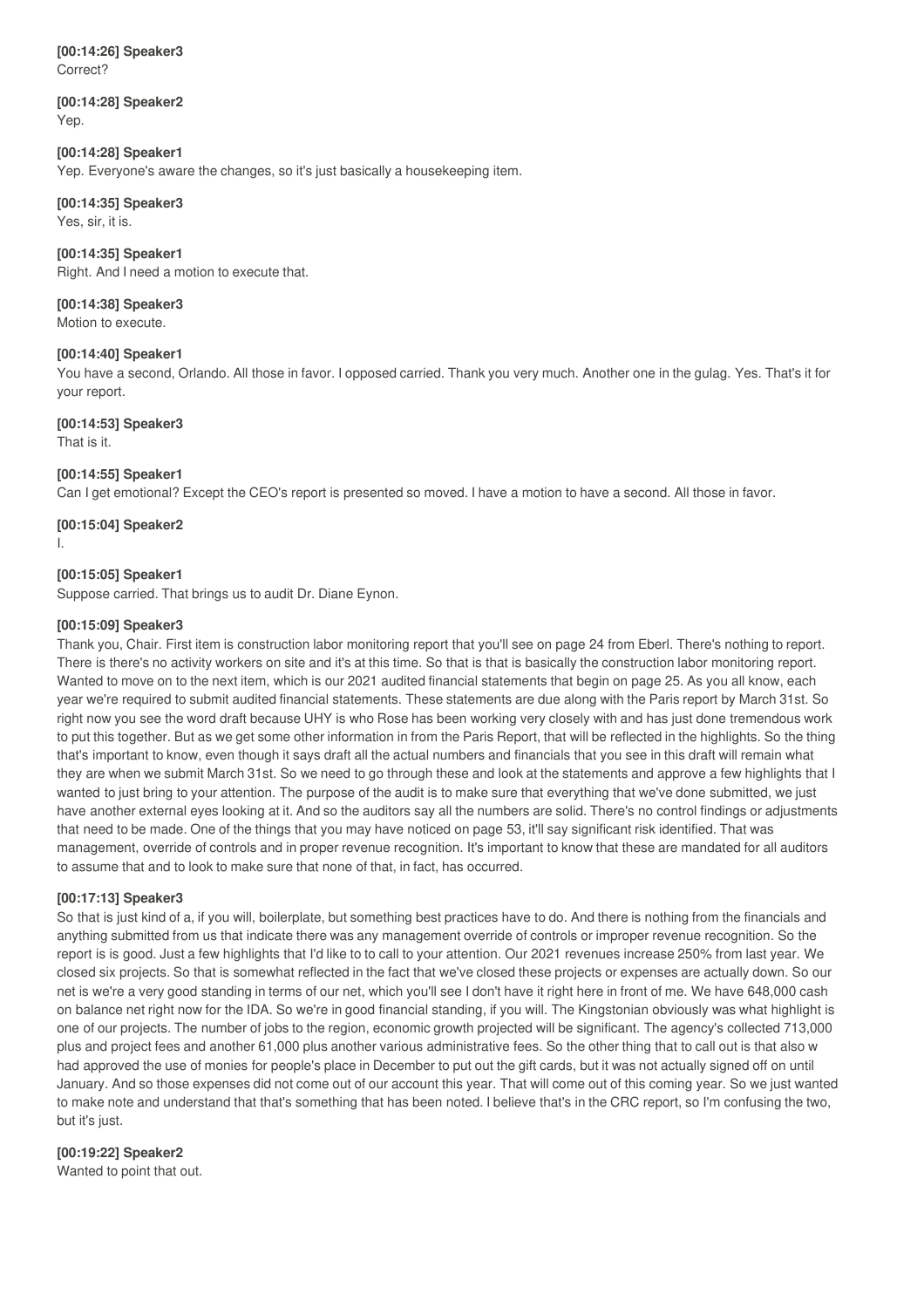**[00:14:26] Speaker3** Correct?

**[00:14:28] Speaker2** Yep.

#### **[00:14:28] Speaker1**

Yep. Everyone's aware the changes, so it's just basically a housekeeping item.

#### **[00:14:35] Speaker3** Yes, sir, it is.

**[00:14:35] Speaker1** Right. And I need a motion to execute that.

**[00:14:38] Speaker3** Motion to execute.

**[00:14:40] Speaker1**

You have a second, Orlando. All those in favor. I opposed carried. Thank you very much. Another one in the gulag. Yes. That's it for your report.

**[00:14:53] Speaker3**

That is it.

#### **[00:14:55] Speaker1**

Can I get emotional? Except the CEO's report is presented so moved. I have a motion to have a second. All those in favor.

**[00:15:04] Speaker2** I.

#### **[00:15:05] Speaker1**

Suppose carried. That brings us to audit Dr. Diane Eynon.

#### **[00:15:09] Speaker3**

Thank you, Chair. First item is construction labor monitoring report that you'll see on page 24 from Eberl. There's nothing to report. There is there's no activity workers on site and it's at this time. So that is that is basically the construction labor monitoring report. Wanted to move on to the next item, which is our 2021 audited financial statements that begin on page 25. As you all know, each year we're required to submit audited financial statements. These statements are due along with the Paris report by March 31st. So right now you see the word draft because UHY is who Rose has been working very closely with and has just done tremendous work to put this together. But as we get some other information in from the Paris Report, that will be reflected in the highlights. So the thing that's important to know, even though it says draft all the actual numbers and financials that you see in this draft will remain what they are when we submit March 31st. So we need to go through these and look at the statements and approve a few highlights that I wanted to just bring to your attention. The purpose of the audit is to make sure that everything that we've done submitted, we just have another external eyes looking at it. And so the auditors say all the numbers are solid. There's no control findings or adjustments that need to be made. One of the things that you may have noticed on page 53, it'll say significant risk identified. That was management, override of controls and in proper revenue recognition. It's important to know that these are mandated for all auditors to assume that and to look to make sure that none of that, in fact, has occurred.

#### **[00:17:13] Speaker3**

So that is just kind of a, if you will, boilerplate, but something best practices have to do. And there is nothing from the financials and anything submitted from us that indicate there was any management override of controls or improper revenue recognition. So the report is is good. Just a few highlights that I'd like to to call to your attention. Our 2021 revenues increase 250% from last year. We closed six projects. So that is somewhat reflected in the fact that we've closed these projects or expenses are actually down. So our net is we're a very good standing in terms of our net, which you'll see I don't have it right here in front of me. We have 648,000 cash on balance net right now for the IDA. So we're in good financial standing, if you will. The Kingstonian obviously was what highlight is one of our projects. The number of jobs to the region, economic growth projected will be significant. The agency's collected 713,000 plus and project fees and another 61,000 plus another various administrative fees. So the other thing that to call out is that also w had approved the use of monies for people's place in December to put out the gift cards, but it was not actually signed off on until January. And so those expenses did not come out of our account this year. That will come out of this coming year. So we just wanted to make note and understand that that's something that has been noted. I believe that's in the CRC report, so I'm confusing the two, but it's just.

#### **[00:19:22] Speaker2**

Wanted to point that out.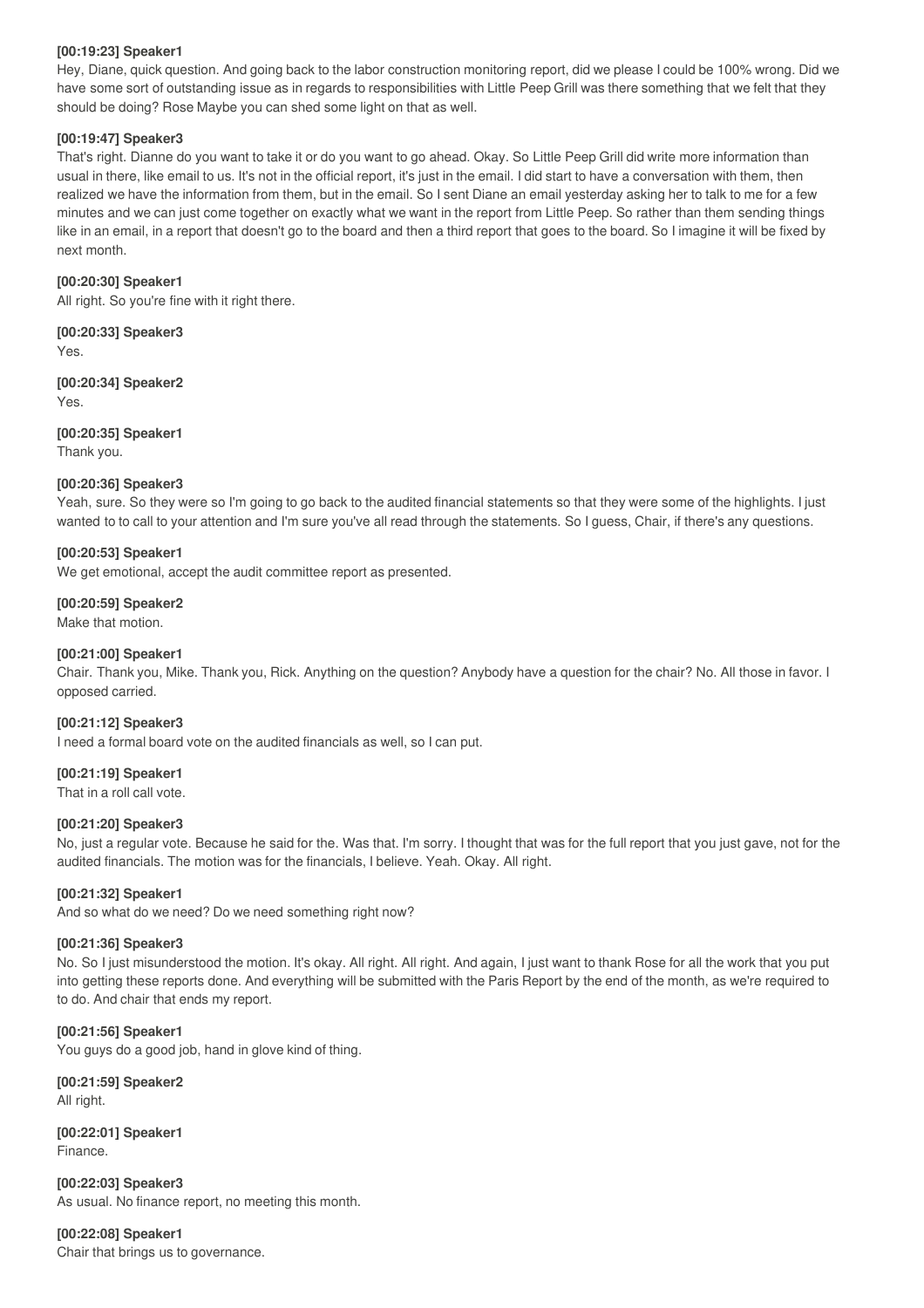#### **[00:19:23] Speaker1**

Hey, Diane, quick question. And going back to the labor construction monitoring report, did we please I could be 100% wrong. Did we have some sort of outstanding issue as in regards to responsibilities with Little Peep Grill was there something that we felt that they should be doing? Rose Maybe you can shed some light on that as well.

#### **[00:19:47] Speaker3**

That's right. Dianne do you want to take it or do you want to go ahead. Okay. So Little Peep Grill did write more information than usual in there, like email to us. It's not in the official report, it's just in the email. I did start to have a conversation with them, then realized we have the information from them, but in the email. So I sent Diane an email yesterday asking her to talk to me for a few minutes and we can just come together on exactly what we want in the report from Little Peep. So rather than them sending things like in an email, in a report that doesn't go to the board and then a third report that goes to the board. So I imagine it will be fixed by next month.

#### **[00:20:30] Speaker1**

All right. So you're fine with it right there.

**[00:20:33] Speaker3** Yes.

**[00:20:34] Speaker2** Yes.

**[00:20:35] Speaker1** Thank you.

#### **[00:20:36] Speaker3**

Yeah, sure. So they were so I'm going to go back to the audited financial statements so that they were some of the highlights. I just wanted to to call to your attention and I'm sure you've all read through the statements. So I guess, Chair, if there's any questions.

#### **[00:20:53] Speaker1**

We get emotional, accept the audit committee report as presented.

#### **[00:20:59] Speaker2**

Make that motion.

#### **[00:21:00] Speaker1**

Chair. Thank you, Mike. Thank you, Rick. Anything on the question? Anybody have a question for the chair? No. All those in favor. I opposed carried.

#### **[00:21:12] Speaker3**

I need a formal board vote on the audited financials as well, so I can put.

#### **[00:21:19] Speaker1**

That in a roll call vote.

#### **[00:21:20] Speaker3**

No, just a regular vote. Because he said for the. Was that. I'm sorry. I thought that was for the full report that you just gave, not for the audited financials. The motion was for the financials, I believe. Yeah. Okay. All right.

#### **[00:21:32] Speaker1**

And so what do we need? Do we need something right now?

#### **[00:21:36] Speaker3**

No. So I just misunderstood the motion. It's okay. All right. All right. And again, I just want to thank Rose for all the work that you put into getting these reports done. And everything will be submitted with the Paris Report by the end of the month, as we're required to to do. And chair that ends my report.

#### **[00:21:56] Speaker1**

You guys do a good job, hand in glove kind of thing.

**[00:21:59] Speaker2** All right.

**[00:22:01] Speaker1** Finance.

**[00:22:03] Speaker3** As usual. No finance report, no meeting this month.

**[00:22:08] Speaker1** Chair that brings us to governance.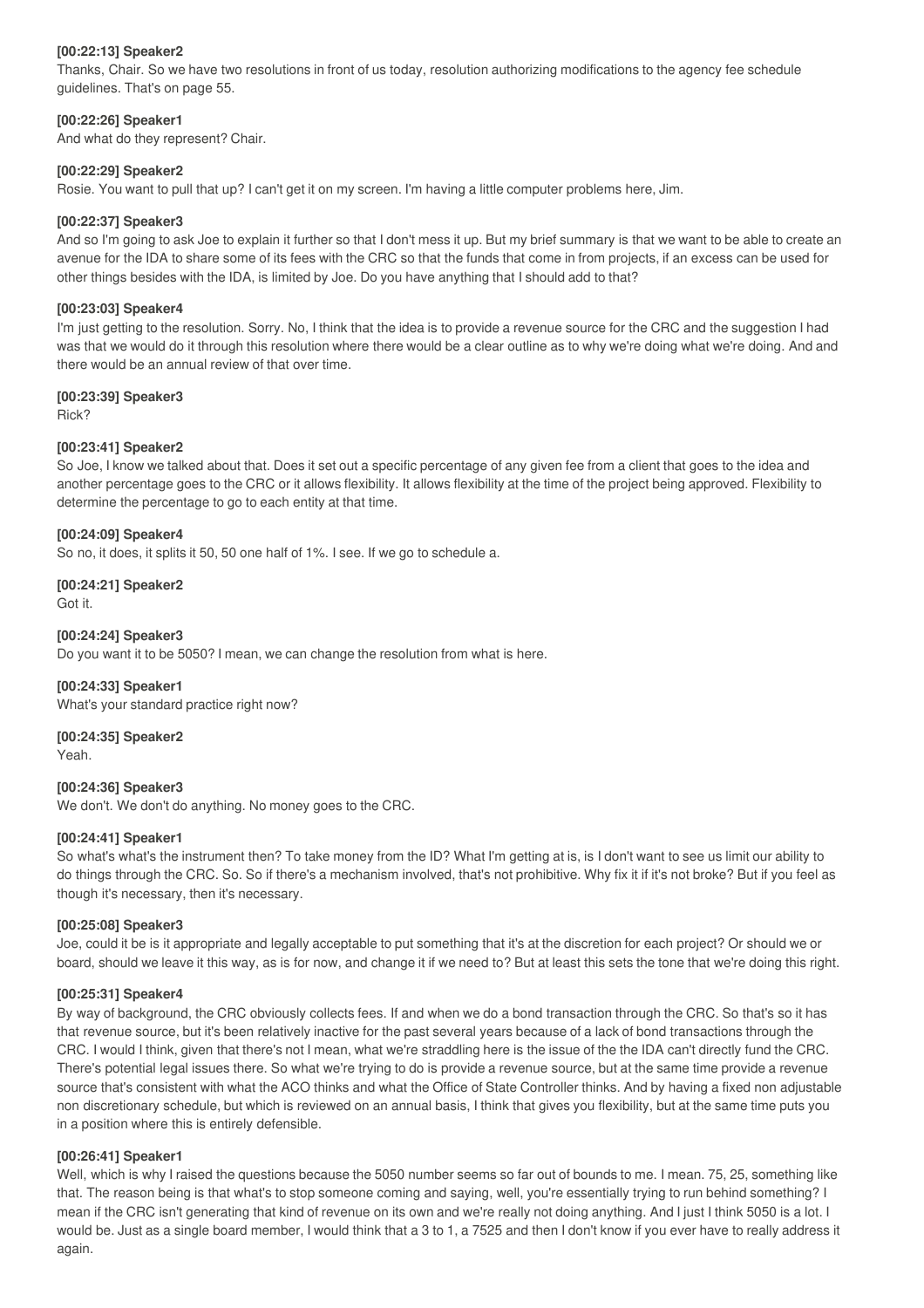#### **[00:22:13] Speaker2**

Thanks, Chair. So we have two resolutions in front of us today, resolution authorizing modifications to the agency fee schedule guidelines. That's on page 55.

#### **[00:22:26] Speaker1**

And what do they represent? Chair.

#### **[00:22:29] Speaker2**

Rosie. You want to pull that up? I can't get it on my screen. I'm having a little computer problems here, Jim.

#### **[00:22:37] Speaker3**

And so I'm going to ask Joe to explain it further so that I don't mess it up. But my brief summary is that we want to be able to create an avenue for the IDA to share some of its fees with the CRC so that the funds that come in from projects, if an excess can be used for other things besides with the IDA, is limited by Joe. Do you have anything that I should add to that?

#### **[00:23:03] Speaker4**

I'm just getting to the resolution. Sorry. No, I think that the idea is to provide a revenue source for the CRC and the suggestion I had was that we would do it through this resolution where there would be a clear outline as to why we're doing what we're doing. And and there would be an annual review of that over time.

#### **[00:23:39] Speaker3**

Rick?

#### **[00:23:41] Speaker2**

So Joe, I know we talked about that. Does it set out a specific percentage of any given fee from a client that goes to the idea and another percentage goes to the CRC or it allows flexibility. It allows flexibility at the time of the project being approved. Flexibility to determine the percentage to go to each entity at that time.

#### **[00:24:09] Speaker4**

So no, it does, it splits it 50, 50 one half of 1%. I see. If we go to schedule a.

## **[00:24:21] Speaker2**

Got it.

#### **[00:24:24] Speaker3**

Do you want it to be 5050? I mean, we can change the resolution from what is here.

#### **[00:24:33] Speaker1**

What's your standard practice right now?

**[00:24:35] Speaker2** Yeah.

### **[00:24:36] Speaker3**

We don't. We don't do anything. No money goes to the CRC.

#### **[00:24:41] Speaker1**

So what's what's the instrument then? To take money from the ID? What I'm getting at is, is I don't want to see us limit our ability to do things through the CRC. So. So if there's a mechanism involved, that's not prohibitive. Why fix it if it's not broke? But if you feel as though it's necessary, then it's necessary.

#### **[00:25:08] Speaker3**

Joe, could it be is it appropriate and legally acceptable to put something that it's at the discretion for each project? Or should we or board, should we leave it this way, as is for now, and change it if we need to? But at least this sets the tone that we're doing this right.

#### **[00:25:31] Speaker4**

By way of background, the CRC obviously collects fees. If and when we do a bond transaction through the CRC. So that's so it has that revenue source, but it's been relatively inactive for the past several years because of a lack of bond transactions through the CRC. I would I think, given that there's not I mean, what we're straddling here is the issue of the the IDA can't directly fund the CRC. There's potential legal issues there. So what we're trying to do is provide a revenue source, but at the same time provide a revenue source that's consistent with what the ACO thinks and what the Office of State Controller thinks. And by having a fixed non adjustable non discretionary schedule, but which is reviewed on an annual basis, I think that gives you flexibility, but at the same time puts you in a position where this is entirely defensible.

#### **[00:26:41] Speaker1**

Well, which is why I raised the questions because the 5050 number seems so far out of bounds to me. I mean. 75, 25, something like that. The reason being is that what's to stop someone coming and saying, well, you're essentially trying to run behind something? I mean if the CRC isn't generating that kind of revenue on its own and we're really not doing anything. And I just I think 5050 is a lot. I would be. Just as a single board member, I would think that a 3 to 1, a 7525 and then I don't know if you ever have to really address it again.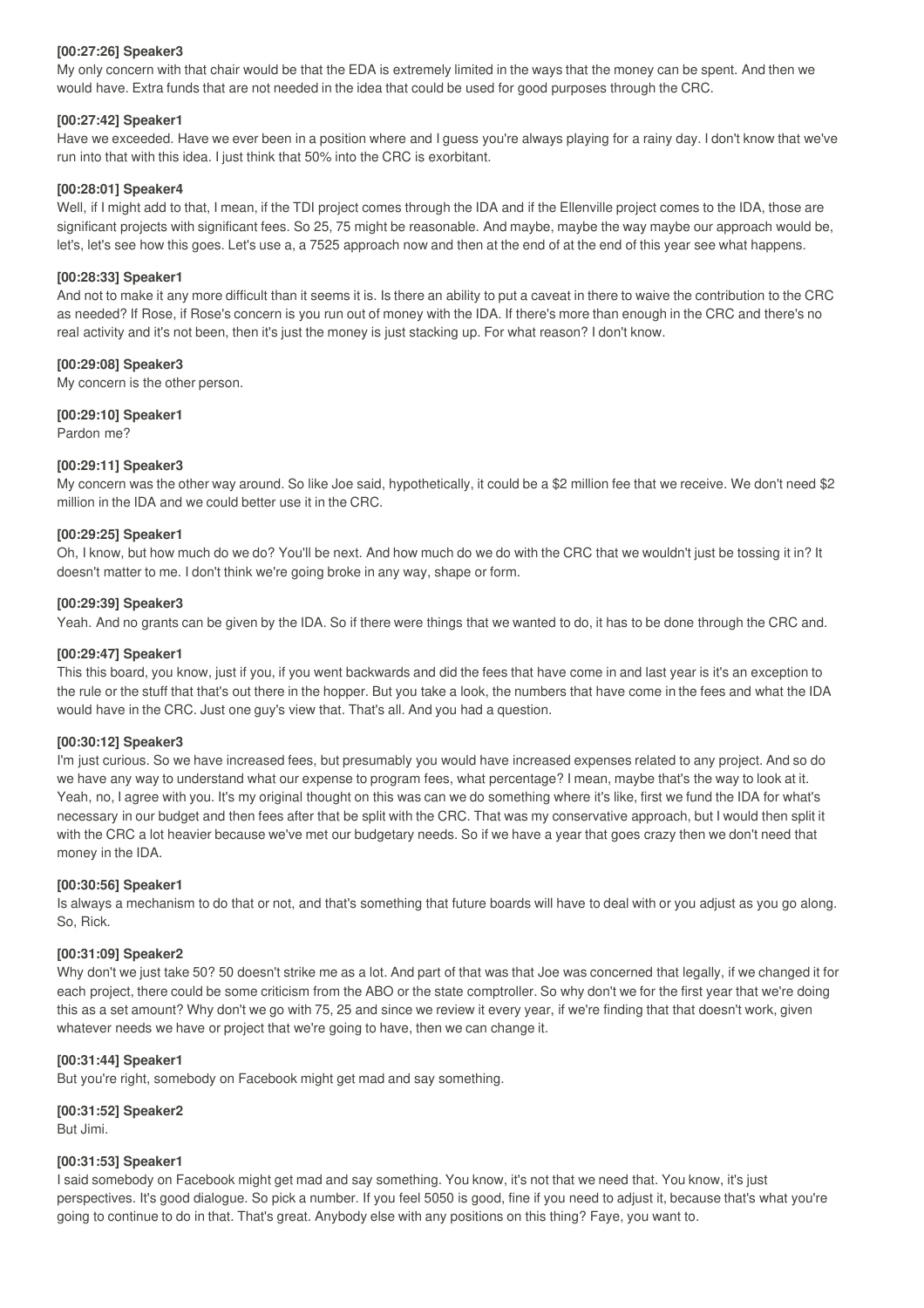#### **[00:27:26] Speaker3**

My only concern with that chair would be that the EDA is extremely limited in the ways that the money can be spent. And then we would have. Extra funds that are not needed in the idea that could be used for good purposes through the CRC.

#### **[00:27:42] Speaker1**

Have we exceeded. Have we ever been in a position where and I guess you're always playing for a rainy day. I don't know that we've run into that with this idea. I just think that 50% into the CRC is exorbitant.

#### **[00:28:01] Speaker4**

Well, if I might add to that, I mean, if the TDI project comes through the IDA and if the Ellenville project comes to the IDA, those are significant projects with significant fees. So 25, 75 might be reasonable. And maybe, maybe the way maybe our approach would be, let's, let's see how this goes. Let's use a, a 7525 approach now and then at the end of at the end of this year see what happens.

#### **[00:28:33] Speaker1**

And not to make it any more difficult than it seems it is. Is there an ability to put a caveat in there to waive the contribution to the CRC as needed? If Rose, if Rose's concern is you run out of money with the IDA. If there's more than enough in the CRC and there's no real activity and it's not been, then it's just the money is just stacking up. For what reason? I don't know.

#### **[00:29:08] Speaker3**

My concern is the other person.

**[00:29:10] Speaker1**

Pardon me?

#### **[00:29:11] Speaker3**

My concern was the other way around. So like Joe said, hypothetically, it could be a \$2 million fee that we receive. We don't need \$2 million in the IDA and we could better use it in the CRC.

#### **[00:29:25] Speaker1**

Oh, I know, but how much do we do? You'll be next. And how much do we do with the CRC that we wouldn't just be tossing it in? It doesn't matter to me. I don't think we're going broke in any way, shape or form.

#### **[00:29:39] Speaker3**

Yeah. And no grants can be given by the IDA. So if there were things that we wanted to do, it has to be done through the CRC and.

#### **[00:29:47] Speaker1**

This this board, you know, just if you, if you went backwards and did the fees that have come in and last year is it's an exception to the rule or the stuff that that's out there in the hopper. But you take a look, the numbers that have come in the fees and what the IDA would have in the CRC. Just one guy's view that. That's all. And you had a question.

#### **[00:30:12] Speaker3**

I'm just curious. So we have increased fees, but presumably you would have increased expenses related to any project. And so do we have any way to understand what our expense to program fees, what percentage? I mean, maybe that's the way to look at it. Yeah, no, I agree with you. It's my original thought on this was can we do something where it's like, first we fund the IDA for what's necessary in our budget and then fees after that be split with the CRC. That was my conservative approach, but I would then split it with the CRC a lot heavier because we've met our budgetary needs. So if we have a year that goes crazy then we don't need that money in the IDA.

#### **[00:30:56] Speaker1**

Is always a mechanism to do that or not, and that's something that future boards will have to deal with or you adjust as you go along. So, Rick.

#### **[00:31:09] Speaker2**

Why don't we just take 50? 50 doesn't strike me as a lot. And part of that was that Joe was concerned that legally, if we changed it for each project, there could be some criticism from the ABO or the state comptroller. So why don't we for the first year that we're doing this as a set amount? Why don't we go with 75, 25 and since we review it every year, if we're finding that that doesn't work, given whatever needs we have or project that we're going to have, then we can change it.

#### **[00:31:44] Speaker1**

But you're right, somebody on Facebook might get mad and say something.

#### **[00:31:52] Speaker2**

But Jimi.

#### **[00:31:53] Speaker1**

I said somebody on Facebook might get mad and say something. You know, it's not that we need that. You know, it's just perspectives. It's good dialogue. So pick a number. If you feel 5050 is good, fine if you need to adjust it, because that's what you're going to continue to do in that. That's great. Anybody else with any positions on this thing? Faye, you want to.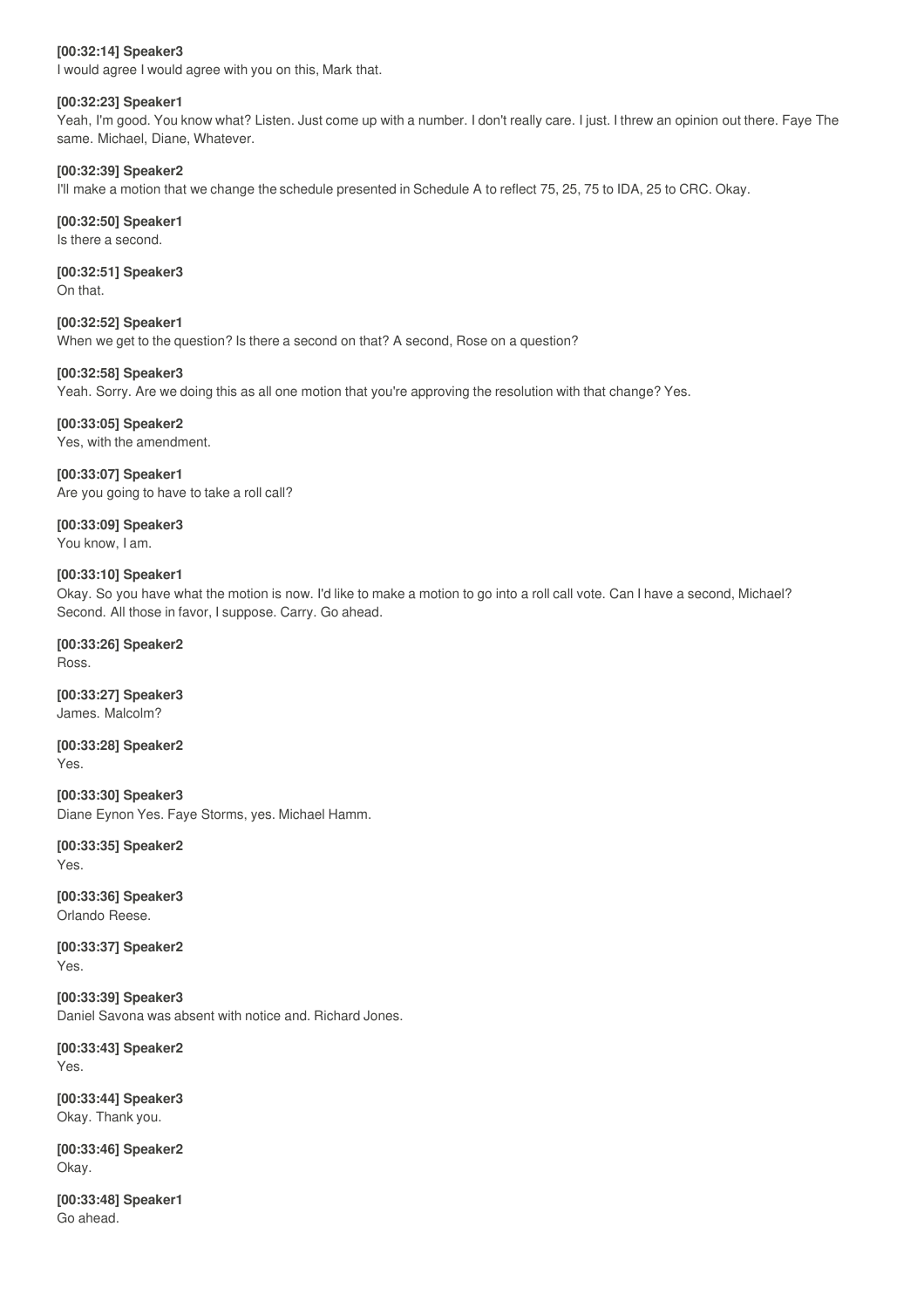#### **[00:32:14] Speaker3**

I would agree I would agree with you on this, Mark that.

#### **[00:32:23] Speaker1**

Yeah, I'm good. You know what? Listen. Just come up with a number. I don't really care. I just. I threw an opinion out there. Faye The same. Michael, Diane, Whatever.

#### **[00:32:39] Speaker2**

I'll make a motion that we change the schedule presented in Schedule A to reflect 75, 25, 75 to IDA, 25 to CRC. Okay.

#### **[00:32:50] Speaker1**

Is there a second.

#### **[00:32:51] Speaker3** On that.

**[00:32:52] Speaker1** When we get to the question? Is there a second on that? A second, Rose on a question?

#### **[00:32:58] Speaker3**

Yeah. Sorry. Are we doing this as all one motion that you're approving the resolution with that change? Yes.

**[00:33:05] Speaker2** Yes, with the amendment.

**[00:33:07] Speaker1** Are you going to have to take a roll call?

**[00:33:09] Speaker3** You know, I am.

#### **[00:33:10] Speaker1**

Okay. So you have what the motion is now. I'd like to make a motion to go into a roll call vote. Can I have a second, Michael? Second. All those in favor, I suppose. Carry. Go ahead.

**[00:33:26] Speaker2** Ross.

**[00:33:27] Speaker3** James. Malcolm?

**[00:33:28] Speaker2** Yes.

**[00:33:30] Speaker3** Diane Eynon Yes. Faye Storms, yes. Michael Hamm.

**[00:33:35] Speaker2** Yes.

**[00:33:36] Speaker3** Orlando Reese.

**[00:33:37] Speaker2** Yes.

**[00:33:39] Speaker3** Daniel Savona was absent with notice and. Richard Jones.

**[00:33:43] Speaker2** Yes.

**[00:33:44] Speaker3** Okay. Thank you.

**[00:33:46] Speaker2** Okay.

**[00:33:48] Speaker1** Go ahead.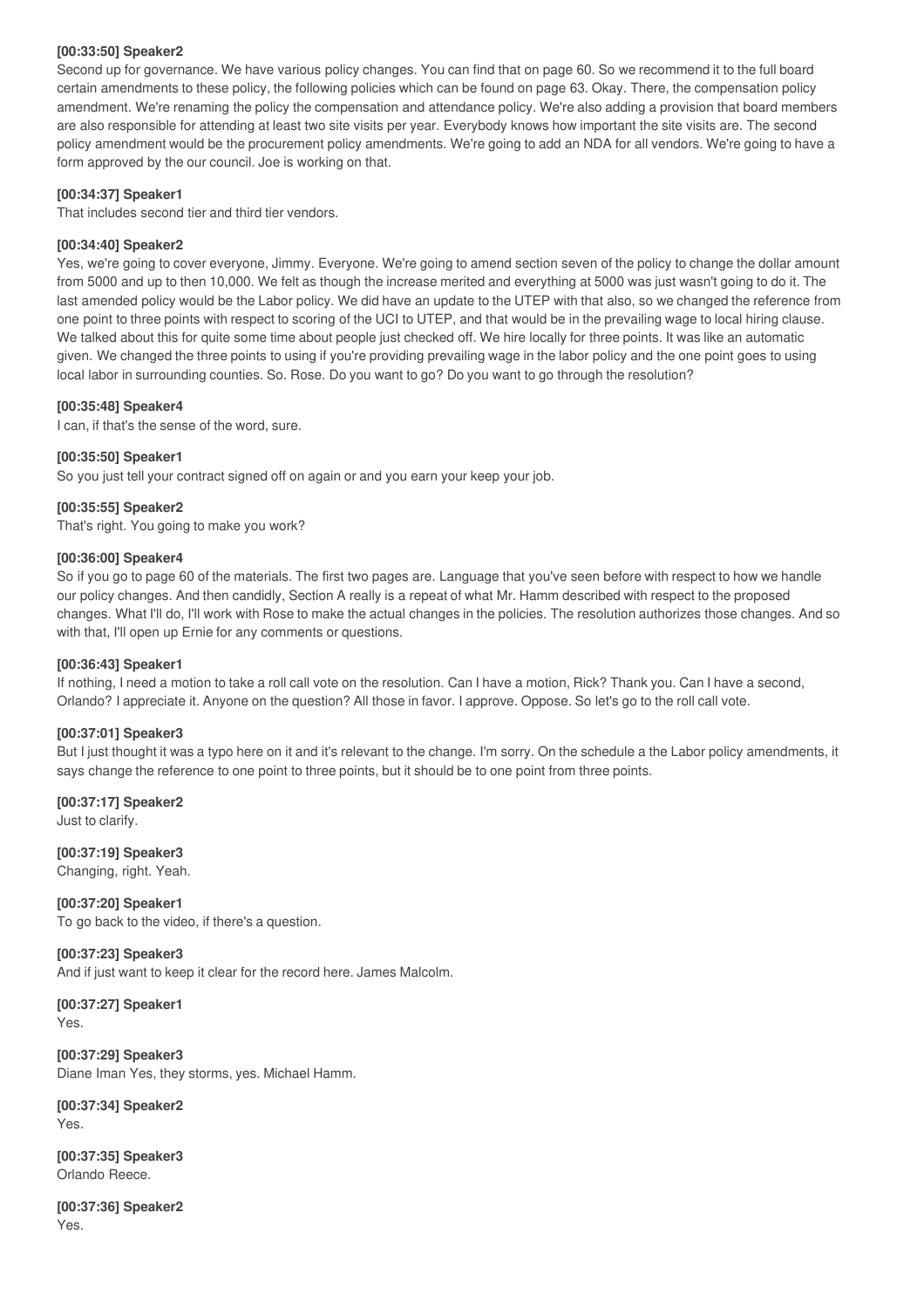#### **[00:33:50] Speaker2**

Second up for governance. We have various policy changes. You can find that on page 60. So we recommend it to the full board certain amendments to these policy, the following policies which can be found on page 63. Okay. There, the compensation policy amendment. We're renaming the policy the compensation and attendance policy. We're also adding a provision that board members are also responsible for attending at least two site visits per year. Everybody knows how important the site visits are. The second policy amendment would be the procurement policy amendments. We're going to add an NDA for all vendors. We're going to have a form approved by the our council. Joe is working on that.

#### **[00:34:37] Speaker1**

That includes second tier and third tier vendors.

#### **[00:34:40] Speaker2**

Yes, we're going to cover everyone, Jimmy. Everyone. We're going to amend section seven of the policy to change the dollar amount from 5000 and up to then 10,000. We felt as though the increase merited and everything at 5000 was just wasn't going to do it. The last amended policy would be the Labor policy. We did have an update to the UTEP with that also, so we changed the reference from one point to three points with respect to scoring of the UCI to UTEP, and that would be in the prevailing wage to local hiring clause. We talked about this for quite some time about people just checked off. We hire locally for three points. It was like an automatic given. We changed the three points to using if you're providing prevailing wage in the labor policy and the one point goes to using local labor in surrounding counties. So. Rose. Do you want to go? Do you want to go through the resolution?

#### **[00:35:48] Speaker4**

I can, if that's the sense of the word, sure.

#### **[00:35:50] Speaker1**

So you just tell your contract signed off on again or and you earn your keep your job.

#### **[00:35:55] Speaker2**

That's right. You going to make you work?

#### **[00:36:00] Speaker4**

So if you go to page 60 of the materials. The first two pages are. Language that you've seen before with respect to how we handle our policy changes. And then candidly, Section A really is a repeat of what Mr. Hamm described with respect to the proposed changes. What I'll do, I'll work with Rose to make the actual changes in the policies. The resolution authorizes those changes. And so with that, I'll open up Ernie for any comments or questions.

#### **[00:36:43] Speaker1**

If nothing, I need a motion to take a roll call vote on the resolution. Can I have a motion, Rick? Thank you. Can I have a second, Orlando? I appreciate it. Anyone on the question? All those in favor. I approve. Oppose. So let's go to the roll call vote.

#### **[00:37:01] Speaker3**

But I just thought it was a typo here on it and it's relevant to the change. I'm sorry. On the schedule a the Labor policy amendments, it says change the reference to one point to three points, but it should be to one point from three points.

**[00:37:17] Speaker2** Just to clarify.

**[00:37:19] Speaker3** Changing, right. Yeah.

**[00:37:20] Speaker1** To go back to the video, if there's a question.

**[00:37:23] Speaker3** And if just want to keep it clear for the record here. James Malcolm.

**[00:37:27] Speaker1** Yes.

**[00:37:29] Speaker3** Diane Iman Yes, they storms, yes. Michael Hamm.

**[00:37:34] Speaker2** Yes.

**[00:37:35] Speaker3** Orlando Reece.

**[00:37:36] Speaker2** Yes.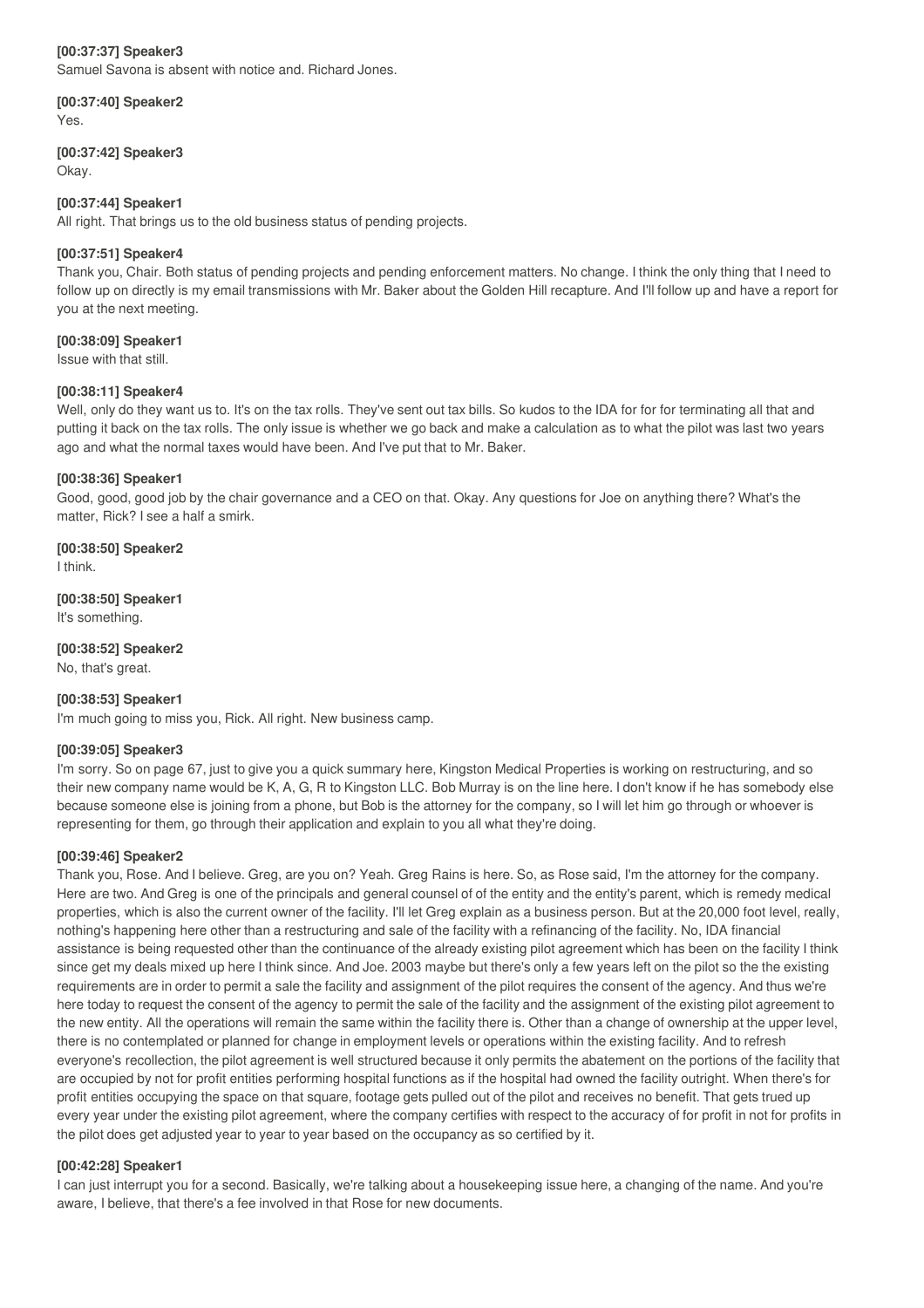#### **[00:37:37] Speaker3**

Samuel Savona is absent with notice and. Richard Jones.

**[00:37:40] Speaker2** Yes.

#### **[00:37:42] Speaker3**

Okay.

#### **[00:37:44] Speaker1**

All right. That brings us to the old business status of pending projects.

#### **[00:37:51] Speaker4**

Thank you, Chair. Both status of pending projects and pending enforcement matters. No change. I think the only thing that I need to follow up on directly is my email transmissions with Mr. Baker about the Golden Hill recapture. And I'll follow up and have a report for you at the next meeting.

#### **[00:38:09] Speaker1**

Issue with that still.

#### **[00:38:11] Speaker4**

Well, only do they want us to. It's on the tax rolls. They've sent out tax bills. So kudos to the IDA for for for terminating all that and putting it back on the tax rolls. The only issue is whether we go back and make a calculation as to what the pilot was last two years ago and what the normal taxes would have been. And I've put that to Mr. Baker.

#### **[00:38:36] Speaker1**

Good, good, good job by the chair governance and a CEO on that. Okay. Any questions for Joe on anything there? What's the matter, Rick? I see a half a smirk.

#### **[00:38:50] Speaker2**

I think.

#### **[00:38:50] Speaker1** It's something.

**[00:38:52] Speaker2**

No, that's great.

#### **[00:38:53] Speaker1**

I'm much going to miss you, Rick. All right. New business camp.

#### **[00:39:05] Speaker3**

I'm sorry. So on page 67, just to give you a quick summary here, Kingston Medical Properties is working on restructuring, and so their new company name would be K, A, G, R to Kingston LLC. Bob Murray is on the line here. I don't know if he has somebody else because someone else is joining from a phone, but Bob is the attorney for the company, so I will let him go through or whoever is representing for them, go through their application and explain to you all what they're doing.

#### **[00:39:46] Speaker2**

Thank you, Rose. And I believe. Greg, are you on? Yeah. Greg Rains is here. So, as Rose said, I'm the attorney for the company. Here are two. And Greg is one of the principals and general counsel of of the entity and the entity's parent, which is remedy medical properties, which is also the current owner of the facility. I'll let Greg explain as a business person. But at the 20,000 foot level, really, nothing's happening here other than a restructuring and sale of the facility with a refinancing of the facility. No, IDA financial assistance is being requested other than the continuance of the already existing pilot agreement which has been on the facility I think since get my deals mixed up here I think since. And Joe. 2003 maybe but there's only a few years left on the pilot so the the existing requirements are in order to permit a sale the facility and assignment of the pilot requires the consent of the agency. And thus we're here today to request the consent of the agency to permit the sale of the facility and the assignment of the existing pilot agreement to the new entity. All the operations will remain the same within the facility there is. Other than a change of ownership at the upper level, there is no contemplated or planned for change in employment levels or operations within the existing facility. And to refresh everyone's recollection, the pilot agreement is well structured because it only permits the abatement on the portions of the facility that are occupied by not for profit entities performing hospital functions as if the hospital had owned the facility outright. When there's for profit entities occupying the space on that square, footage gets pulled out of the pilot and receives no benefit. That gets trued up every year under the existing pilot agreement, where the company certifies with respect to the accuracy of for profit in not for profits in the pilot does get adjusted year to year to year based on the occupancy as so certified by it.

#### **[00:42:28] Speaker1**

I can just interrupt you for a second. Basically, we're talking about a housekeeping issue here, a changing of the name. And you're aware, I believe, that there's a fee involved in that Rose for new documents.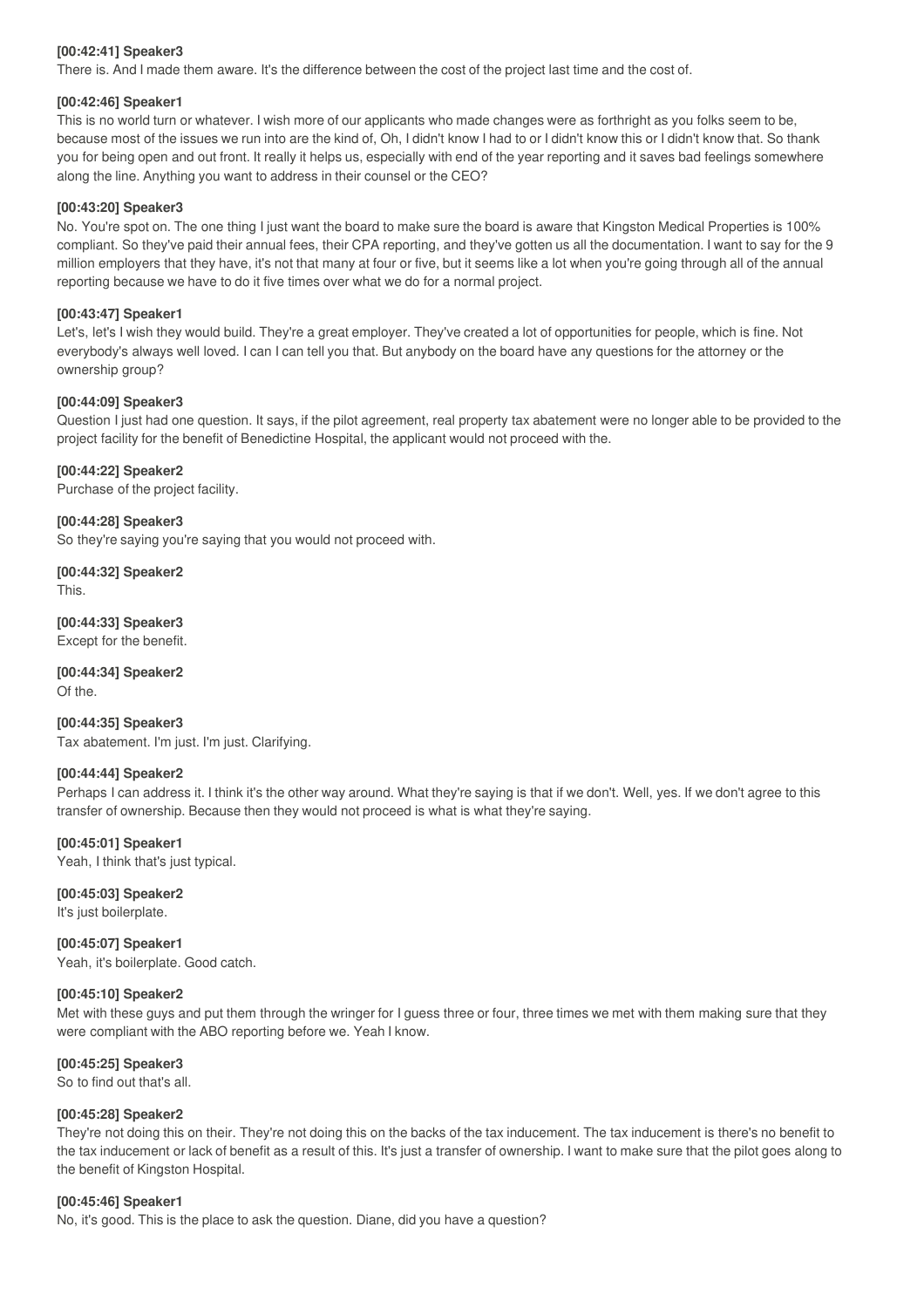#### **[00:42:41] Speaker3**

There is. And I made them aware. It's the difference between the cost of the project last time and the cost of.

#### **[00:42:46] Speaker1**

This is no world turn or whatever. I wish more of our applicants who made changes were as forthright as you folks seem to be, because most of the issues we run into are the kind of, Oh, I didn't know I had to or I didn't know this or I didn't know that. So thank you for being open and out front. It really it helps us, especially with end of the year reporting and it saves bad feelings somewhere along the line. Anything you want to address in their counsel or the CEO?

#### **[00:43:20] Speaker3**

No. You're spot on. The one thing I just want the board to make sure the board is aware that Kingston Medical Properties is 100% compliant. So they've paid their annual fees, their CPA reporting, and they've gotten us all the documentation. I want to say for the 9 million employers that they have, it's not that many at four or five, but it seems like a lot when you're going through all of the annual reporting because we have to do it five times over what we do for a normal project.

#### **[00:43:47] Speaker1**

Let's, let's I wish they would build. They're a great employer. They've created a lot of opportunities for people, which is fine. Not everybody's always well loved. I can I can tell you that. But anybody on the board have any questions for the attorney or the ownership group?

#### **[00:44:09] Speaker3**

Question I just had one question. It says, if the pilot agreement, real property tax abatement were no longer able to be provided to the project facility for the benefit of Benedictine Hospital, the applicant would not proceed with the.

#### **[00:44:22] Speaker2**

Purchase of the project facility.

**[00:44:28] Speaker3** So they're saying you're saying that you would not proceed with.

**[00:44:32] Speaker2** This.

**[00:44:33] Speaker3** Except for the benefit.

**[00:44:34] Speaker2** Of the.

**[00:44:35] Speaker3** Tax abatement. I'm just. I'm just. Clarifying.

#### **[00:44:44] Speaker2**

Perhaps I can address it. I think it's the other way around. What they're saying is that if we don't. Well, yes. If we don't agree to this transfer of ownership. Because then they would not proceed is what is what they're saying.

**[00:45:01] Speaker1**

Yeah, I think that's just typical.

**[00:45:03] Speaker2** It's just boilerplate.

**[00:45:07] Speaker1** Yeah, it's boilerplate. Good catch.

#### **[00:45:10] Speaker2**

Met with these guys and put them through the wringer for I guess three or four, three times we met with them making sure that they were compliant with the ABO reporting before we. Yeah I know.

#### **[00:45:25] Speaker3**

So to find out that's all.

#### **[00:45:28] Speaker2**

They're not doing this on their. They're not doing this on the backs of the tax inducement. The tax inducement is there's no benefit to the tax inducement or lack of benefit as a result of this. It's just a transfer of ownership. I want to make sure that the pilot goes along to the benefit of Kingston Hospital.

#### **[00:45:46] Speaker1**

No, it's good. This is the place to ask the question. Diane, did you have a question?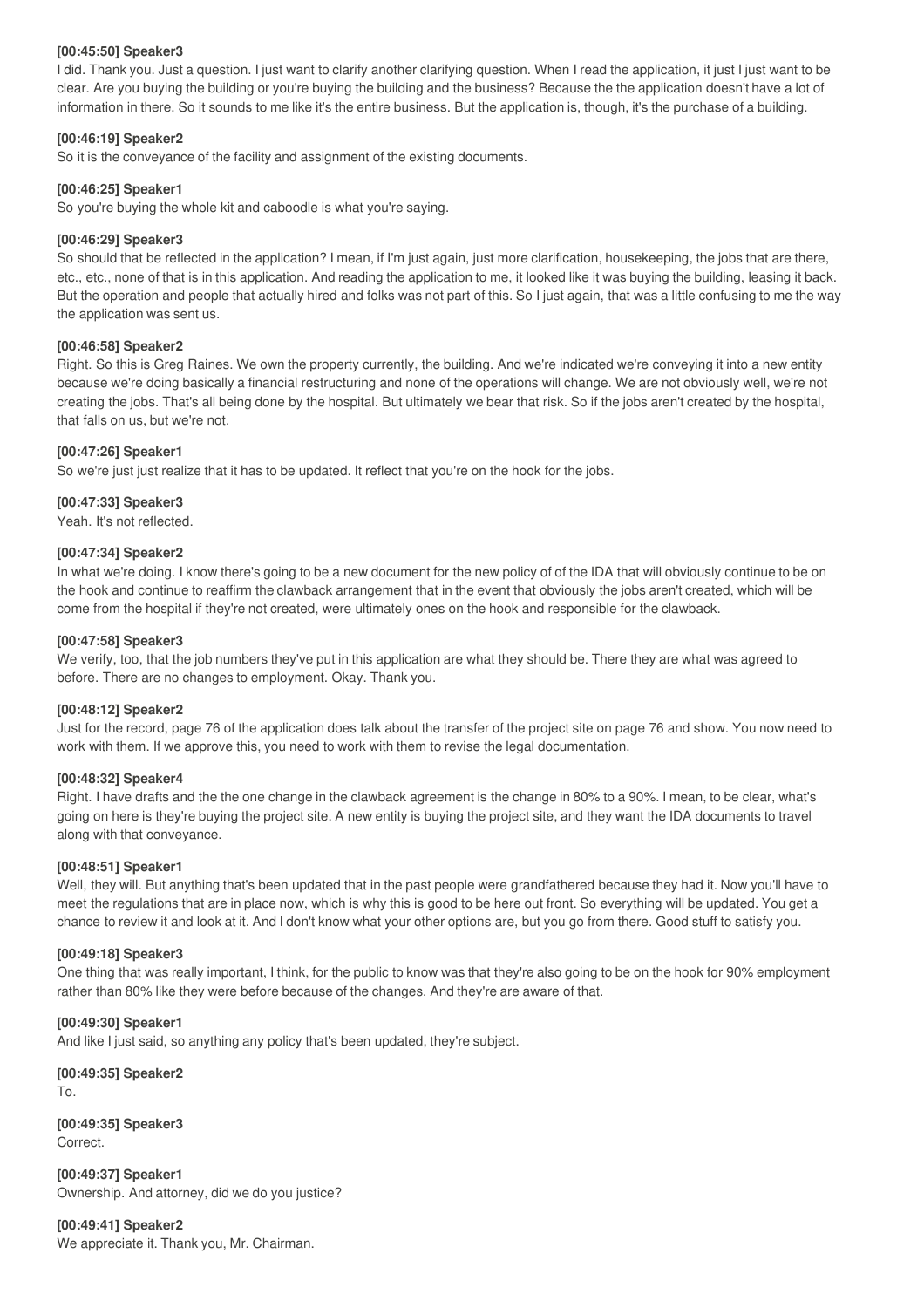#### **[00:45:50] Speaker3**

I did. Thank you. Just a question. I just want to clarify another clarifying question. When I read the application, it just I just want to be clear. Are you buying the building or you're buying the building and the business? Because the the application doesn't have a lot of information in there. So it sounds to me like it's the entire business. But the application is, though, it's the purchase of a building.

#### **[00:46:19] Speaker2**

So it is the conveyance of the facility and assignment of the existing documents.

#### **[00:46:25] Speaker1**

So you're buying the whole kit and caboodle is what you're saying.

#### **[00:46:29] Speaker3**

So should that be reflected in the application? I mean, if I'm just again, just more clarification, housekeeping, the jobs that are there, etc., etc., none of that is in this application. And reading the application to me, it looked like it was buying the building, leasing it back. But the operation and people that actually hired and folks was not part of this. So I just again, that was a little confusing to me the way the application was sent us.

#### **[00:46:58] Speaker2**

Right. So this is Greg Raines. We own the property currently, the building. And we're indicated we're conveying it into a new entity because we're doing basically a financial restructuring and none of the operations will change. We are not obviously well, we're not creating the jobs. That's all being done by the hospital. But ultimately we bear that risk. So if the jobs aren't created by the hospital, that falls on us, but we're not.

#### **[00:47:26] Speaker1**

So we're just just realize that it has to be updated. It reflect that you're on the hook for the jobs.

#### **[00:47:33] Speaker3**

Yeah. It's not reflected.

#### **[00:47:34] Speaker2**

In what we're doing. I know there's going to be a new document for the new policy of of the IDA that will obviously continue to be on the hook and continue to reaffirm the clawback arrangement that in the event that obviously the jobs aren't created, which will be come from the hospital if they're not created, were ultimately ones on the hook and responsible for the clawback.

#### **[00:47:58] Speaker3**

We verify, too, that the job numbers they've put in this application are what they should be. There they are what was agreed to before. There are no changes to employment. Okay. Thank you.

#### **[00:48:12] Speaker2**

Just for the record, page 76 of the application does talk about the transfer of the project site on page 76 and show. You now need to work with them. If we approve this, you need to work with them to revise the legal documentation.

#### **[00:48:32] Speaker4**

Right. I have drafts and the the one change in the clawback agreement is the change in 80% to a 90%. I mean, to be clear, what's going on here is they're buying the project site. A new entity is buying the project site, and they want the IDA documents to travel along with that conveyance.

#### **[00:48:51] Speaker1**

Well, they will. But anything that's been updated that in the past people were grandfathered because they had it. Now you'll have to meet the regulations that are in place now, which is why this is good to be here out front. So everything will be updated. You get a chance to review it and look at it. And I don't know what your other options are, but you go from there. Good stuff to satisfy you.

#### **[00:49:18] Speaker3**

One thing that was really important, I think, for the public to know was that they're also going to be on the hook for 90% employment rather than 80% like they were before because of the changes. And they're are aware of that.

#### **[00:49:30] Speaker1**

And like I just said, so anything any policy that's been updated, they're subject.

**[00:49:35] Speaker2** To.

**[00:49:35] Speaker3** Correct.

**[00:49:37] Speaker1** Ownership. And attorney, did we do you justice?

**[00:49:41] Speaker2** We appreciate it. Thank you, Mr. Chairman.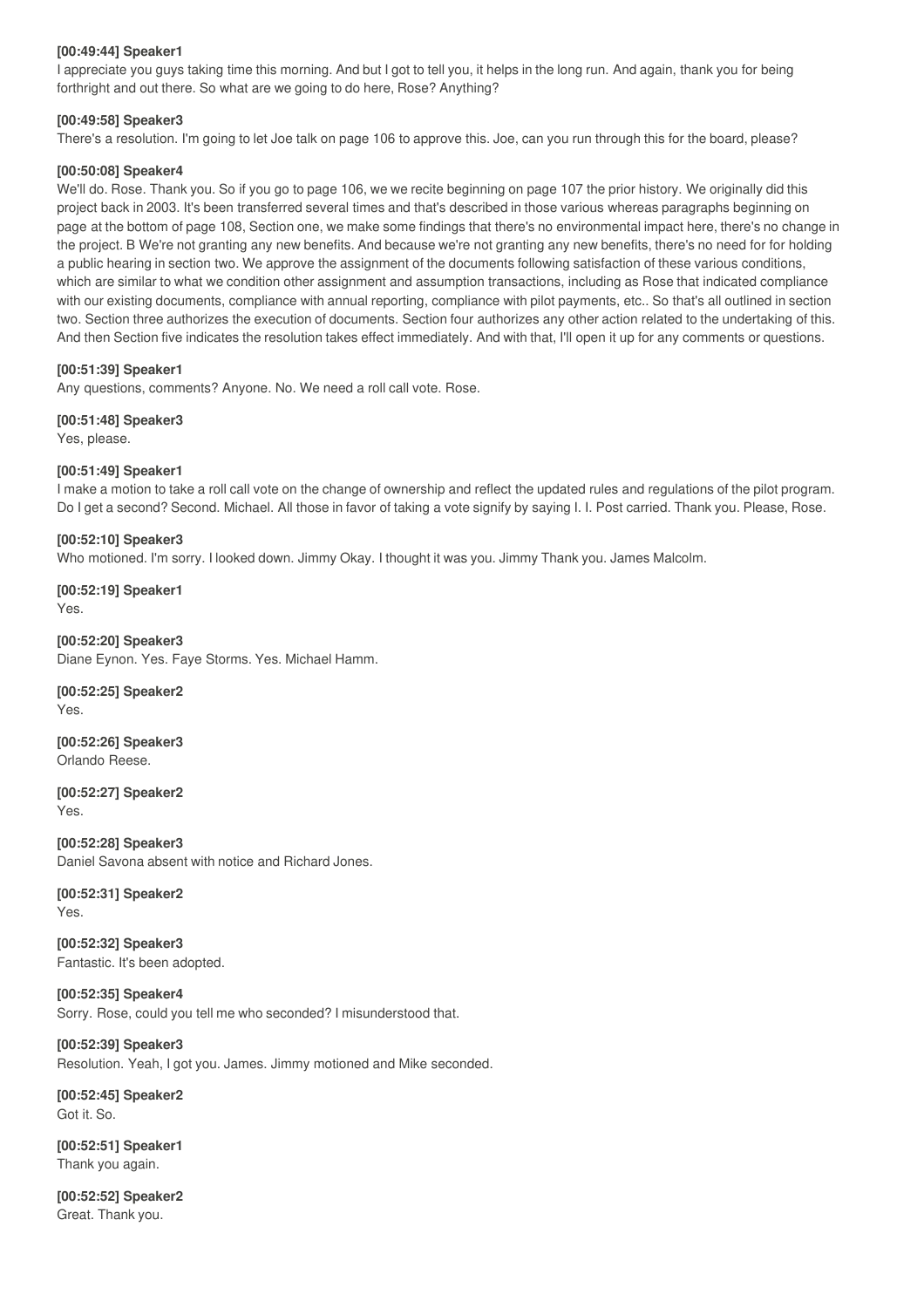#### **[00:49:44] Speaker1**

I appreciate you guys taking time this morning. And but I got to tell you, it helps in the long run. And again, thank you for being forthright and out there. So what are we going to do here, Rose? Anything?

#### **[00:49:58] Speaker3**

There's a resolution. I'm going to let Joe talk on page 106 to approve this. Joe, can you run through this for the board, please?

#### **[00:50:08] Speaker4**

We'll do. Rose. Thank you. So if you go to page 106, we we recite beginning on page 107 the prior history. We originally did this project back in 2003. It's been transferred several times and that's described in those various whereas paragraphs beginning on page at the bottom of page 108, Section one, we make some findings that there's no environmental impact here, there's no change in the project. B We're not granting any new benefits. And because we're not granting any new benefits, there's no need for for holding a public hearing in section two. We approve the assignment of the documents following satisfaction of these various conditions, which are similar to what we condition other assignment and assumption transactions, including as Rose that indicated compliance with our existing documents, compliance with annual reporting, compliance with pilot payments, etc.. So that's all outlined in section two. Section three authorizes the execution of documents. Section four authorizes any other action related to the undertaking of this. And then Section five indicates the resolution takes effect immediately. And with that, I'll open it up for any comments or questions.

#### **[00:51:39] Speaker1**

Any questions, comments? Anyone. No. We need a roll call vote. Rose.

#### **[00:51:48] Speaker3**

Yes, please.

#### **[00:51:49] Speaker1**

I make a motion to take a roll call vote on the change of ownership and reflect the updated rules and regulations of the pilot program. Do I get a second? Second. Michael. All those in favor of taking a vote signify by saying I. I. Post carried. Thank you. Please, Rose.

#### **[00:52:10] Speaker3**

Who motioned. I'm sorry. I looked down. Jimmy Okay. I thought it was you. Jimmy Thank you. James Malcolm.

**[00:52:19] Speaker1** Yes.

**[00:52:20] Speaker3** Diane Eynon. Yes. Faye Storms. Yes. Michael Hamm.

**[00:52:25] Speaker2** Yes.

**[00:52:26] Speaker3** Orlando Reese.

**[00:52:27] Speaker2** Yes.

**[00:52:28] Speaker3** Daniel Savona absent with notice and Richard Jones.

#### **[00:52:31] Speaker2** Yes.

**[00:52:32] Speaker3** Fantastic. It's been adopted.

**[00:52:35] Speaker4** Sorry. Rose, could you tell me who seconded? I misunderstood that.

**[00:52:39] Speaker3** Resolution. Yeah, I got you. James. Jimmy motioned and Mike seconded.

**[00:52:45] Speaker2** Got it. So.

**[00:52:51] Speaker1** Thank you again.

**[00:52:52] Speaker2** Great. Thank you.